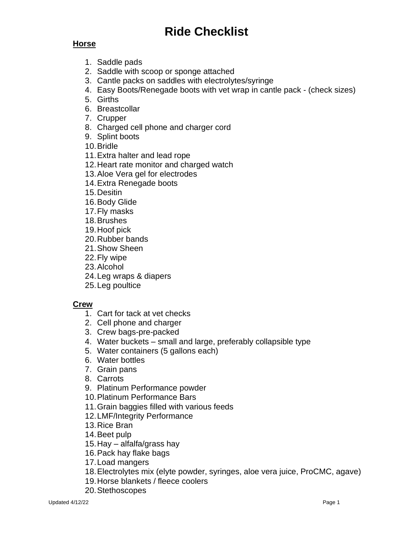# **Ride Checklist**

### **Horse**

- 1. Saddle pads
- 2. Saddle with scoop or sponge attached
- 3. Cantle packs on saddles with electrolytes/syringe
- 4. Easy Boots/Renegade boots with vet wrap in cantle pack (check sizes)
- 5. Girths
- 6. Breastcollar
- 7. Crupper
- 8. Charged cell phone and charger cord
- 9. Splint boots
- 10.Bridle
- 11.Extra halter and lead rope
- 12.Heart rate monitor and charged watch
- 13.Aloe Vera gel for electrodes
- 14.Extra Renegade boots
- 15.Desitin
- 16.Body Glide
- 17.Fly masks
- 18.Brushes
- 19.Hoof pick
- 20.Rubber bands
- 21.Show Sheen
- 22.Fly wipe
- 23.Alcohol
- 24.Leg wraps & diapers
- 25.Leg poultice

#### **Crew**

- 1. Cart for tack at vet checks
- 2. Cell phone and charger
- 3. Crew bags-pre-packed
- 4. Water buckets small and large, preferably collapsible type
- 5. Water containers (5 gallons each)
- 6. Water bottles
- 7. Grain pans
- 8. Carrots
- 9. Platinum Performance powder
- 10.Platinum Performance Bars
- 11.Grain baggies filled with various feeds
- 12.LMF/Integrity Performance
- 13.Rice Bran
- 14.Beet pulp
- 15.Hay alfalfa/grass hay
- 16.Pack hay flake bags
- 17.Load mangers
- 18.Electrolytes mix (elyte powder, syringes, aloe vera juice, ProCMC, agave)
- 19.Horse blankets / fleece coolers
- 20.Stethoscopes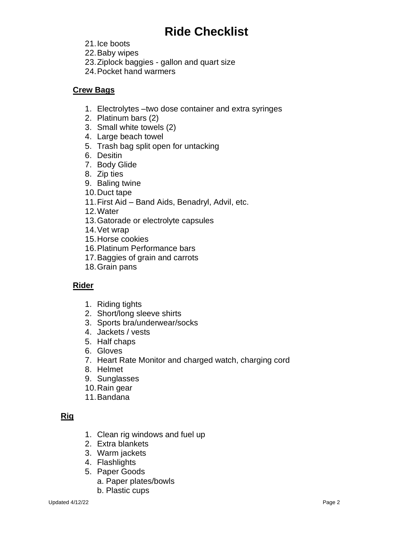## **Ride Checklist**

- 21.Ice boots
- 22.Baby wipes
- 23.Ziplock baggies gallon and quart size
- 24.Pocket hand warmers

#### **Crew Bags**

- 1. Electrolytes –two dose container and extra syringes
- 2. Platinum bars (2)
- 3. Small white towels (2)
- 4. Large beach towel
- 5. Trash bag split open for untacking
- 6. Desitin
- 7. Body Glide
- 8. Zip ties
- 9. Baling twine
- 10.Duct tape
- 11.First Aid Band Aids, Benadryl, Advil, etc.
- 12.Water
- 13.Gatorade or electrolyte capsules
- 14.Vet wrap
- 15.Horse cookies
- 16.Platinum Performance bars
- 17.Baggies of grain and carrots
- 18.Grain pans

### **Rider**

- 1. Riding tights
- 2. Short/long sleeve shirts
- 3. Sports bra/underwear/socks
- 4. Jackets / vests
- 5. Half chaps
- 6. Gloves
- 7. Heart Rate Monitor and charged watch, charging cord
- 8. Helmet
- 9. Sunglasses
- 10.Rain gear
- 11.Bandana

## **Rig**

- 1. Clean rig windows and fuel up
- 2. Extra blankets
- 3. Warm jackets
- 4. Flashlights
- 5. Paper Goods
	- a. Paper plates/bowls
	- b. Plastic cups